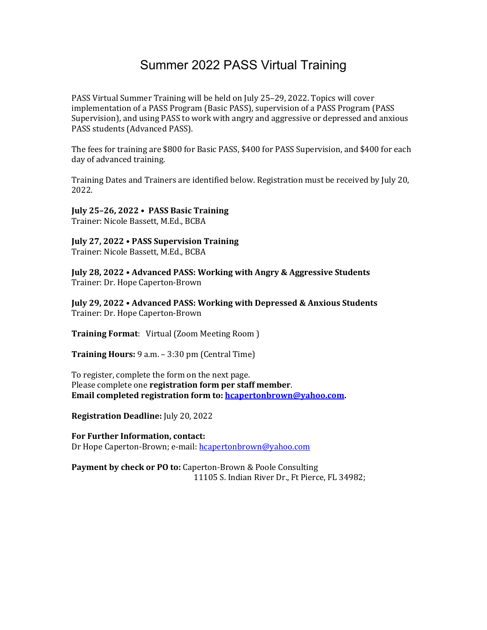## Summer 2022 PASS Virtual Training

PASS Virtual Summer Training will be held on July 25–29, 2022. Topics will cover implementation of a PASS Program (Basic PASS), supervision of a PASS Program (PASS Supervision), and using PASS to work with angry and aggressive or depressed and anxious PASS students (Advanced PASS).

The fees for training are \$800 for Basic PASS, \$400 for PASS Supervision, and \$400 for each day of advanced training.

Training Dates and Trainers are identified below. Registration must be received by July 20, 2022.

**July 25–26, 2022 • PASS Basic Training** Trainer: Nicole Bassett, M.Ed., BCBA

**July 27, 2022 • PASS Supervision Training** Trainer: Nicole Bassett, M.Ed., BCBA

**July 28, 2022 • Advanced PASS: Working with Angry & Aggressive Students** Trainer: Dr. Hope Caperton-Brown

**July 29, 2022 • Advanced PASS: Working with Depressed & Anxious Students** Trainer: Dr. Hope Caperton-Brown

**Training Format:** Virtual (Zoom Meeting Room)

**Training Hours:** 9 a.m. - 3:30 pm (Central Time)

To register, complete the form on the next page. Please complete one **registration form per staff member**. **Email completed registration form to: hcapertonbrown@yahoo.com.** 

**Registration Deadline:** July 20, 2022

For Further Information, contact: Dr Hope Caperton-Brown; e-mail: hcapertonbrown@yahoo.com

**Payment by check or PO to:** Caperton-Brown & Poole Consulting 11105 S. Indian River Dr., Ft Pierce, FL 34982;